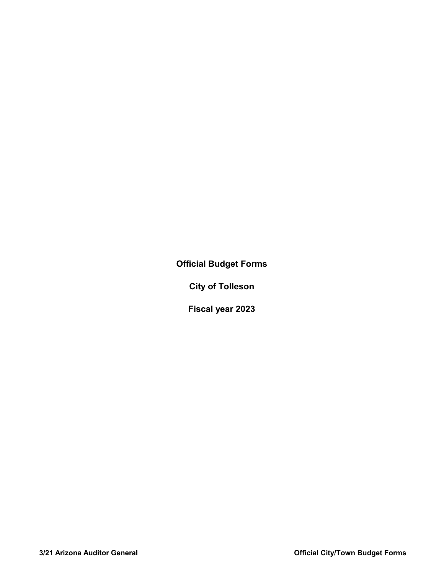**Official Budget Forms**

**City of Tolleson**

**Fiscal year 2023**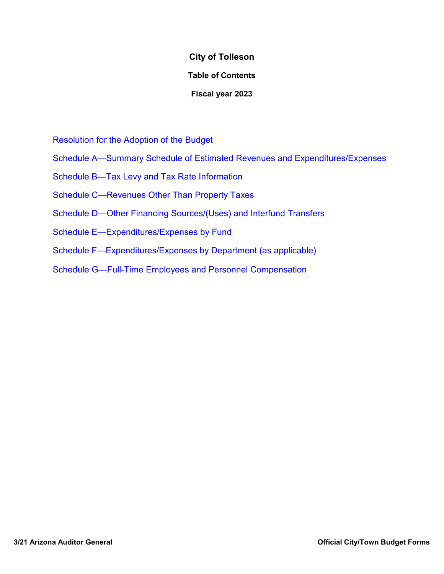## **City of Tolleson**

## **Table of Contents**

## **Fiscal year 2023**

Resolution for the Adoption of the Budget

- Schedule A—Summary Schedule of Estimated Revenues and Expenditures/Expenses
- Schedule B—Tax Levy and Tax Rate Information
- Schedule C—Revenues Other Than Property Taxes
- Schedule D—Other Financing Sources/(Uses) and Interfund Transfers
- Schedule E—Expenditures/Expenses by Fund
- Schedule F—Expenditures/Expenses by Department (as applicable)
- Schedule G—Full-Time Employees and Personnel Compensation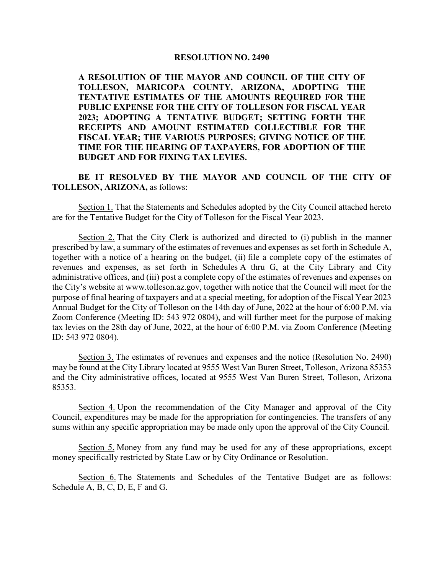#### **RESOLUTION NO. 2490**

**A RESOLUTION OF THE MAYOR AND COUNCIL OF THE CITY OF TOLLESON, MARICOPA COUNTY, ARIZONA, ADOPTING THE TENTATIVE ESTIMATES OF THE AMOUNTS REQUIRED FOR THE PUBLIC EXPENSE FOR THE CITY OF TOLLESON FOR FISCAL YEAR 2023; ADOPTING A TENTATIVE BUDGET; SETTING FORTH THE RECEIPTS AND AMOUNT ESTIMATED COLLECTIBLE FOR THE FISCAL YEAR; THE VARIOUS PURPOSES; GIVING NOTICE OF THE TIME FOR THE HEARING OF TAXPAYERS, FOR ADOPTION OF THE BUDGET AND FOR FIXING TAX LEVIES.**

**BE IT RESOLVED BY THE MAYOR AND COUNCIL OF THE CITY OF TOLLESON, ARIZONA,** as follows:

Section 1. That the Statements and Schedules adopted by the City Council attached hereto are for the Tentative Budget for the City of Tolleson for the Fiscal Year 2023.

Section 2. That the City Clerk is authorized and directed to (i) publish in the manner prescribed by law, a summary of the estimates of revenues and expenses as set forth in Schedule A, together with a notice of a hearing on the budget, (ii) file a complete copy of the estimates of revenues and expenses, as set forth in Schedules A thru G, at the City Library and City administrative offices, and (iii) post a complete copy of the estimates of revenues and expenses on the City's website at www.tolleson.az.gov, together with notice that the Council will meet for the purpose of final hearing of taxpayers and at a special meeting, for adoption of the Fiscal Year 2023 Annual Budget for the City of Tolleson on the 14th day of June, 2022 at the hour of 6:00 P.M. via Zoom Conference (Meeting ID: 543 972 0804), and will further meet for the purpose of making tax levies on the 28th day of June, 2022, at the hour of 6:00 P.M. via Zoom Conference (Meeting ID: 543 972 0804).

Section 3. The estimates of revenues and expenses and the notice (Resolution No. 2490) may be found at the City Library located at 9555 West Van Buren Street, Tolleson, Arizona 85353 and the City administrative offices, located at 9555 West Van Buren Street, Tolleson, Arizona 85353.

Section 4. Upon the recommendation of the City Manager and approval of the City Council, expenditures may be made for the appropriation for contingencies. The transfers of any sums within any specific appropriation may be made only upon the approval of the City Council.

Section 5. Money from any fund may be used for any of these appropriations, except money specifically restricted by State Law or by City Ordinance or Resolution.

Section 6. The Statements and Schedules of the Tentative Budget are as follows: Schedule A, B, C, D, E, F and G.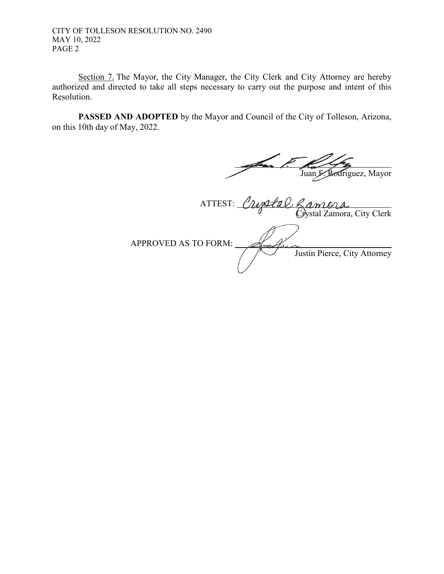CITY OF TOLLESON RESOLUTION NO. 2490 MAY 10, 2022 PAGE 2

Section 7. The Mayor, the City Manager, the City Clerk and City Attorney are hereby authorized and directed to take all steps necessary to carry out the purpose and intent of this Resolution.

**PASSED AND ADOPTED** by the Mayor and Council of the City of Tolleson, Arizona, on this 10th day of May, 2022.

 $\overline{a}$ Juan F. Rodriguez, Mayor

 ATTEST: riptal K*âmûû*<br>Crystal Zamora, City Clerk APPROVED AS TO FORM:  $\tau$ da Justin Pierce, City Attorney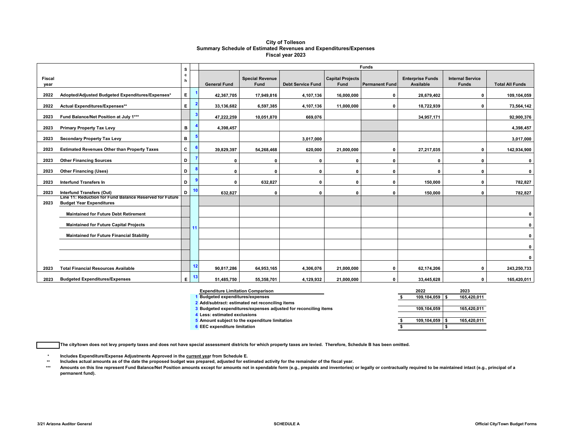#### **City of Tolleson Summary Schedule of Estimated Revenues and Expenditures/Expenses Fiscal year 2023**

|                       |                                                                                            | s      |    | Funds               |                                |                          |                                 |                       |                                             |                                         |                        |  |  |  |  |  |
|-----------------------|--------------------------------------------------------------------------------------------|--------|----|---------------------|--------------------------------|--------------------------|---------------------------------|-----------------------|---------------------------------------------|-----------------------------------------|------------------------|--|--|--|--|--|
| <b>Fiscal</b><br>year |                                                                                            | c<br>h |    | <b>General Fund</b> | <b>Special Revenue</b><br>Fund | <b>Debt Service Fund</b> | <b>Capital Projects</b><br>Fund | <b>Permanent Fund</b> | <b>Enterprise Funds</b><br><b>Available</b> | <b>Internal Service</b><br><b>Funds</b> | <b>Total All Funds</b> |  |  |  |  |  |
| 2022                  | Adopted/Adjusted Budgeted Expenditures/Expenses*                                           | Е.     |    | 42,367,705          | 17,949,816                     | 4,107,136                | 16,000,000                      | 0                     | 28,679,402                                  | $\mathbf{0}$                            | 109,104,059            |  |  |  |  |  |
| 2022                  | Actual Expenditures/Expenses**                                                             | Е.     |    | 33,136,682          | 6,597,385                      | 4,107,136                | 11.000.000                      | $\mathbf 0$           | 18,722,939                                  | $\mathbf{0}$                            | 73,564,142             |  |  |  |  |  |
| 2023                  | Fund Balance/Net Position at July 1***                                                     |        |    | 47,222,259          | 10,051,870                     | 669,076                  |                                 |                       | 34,957,171                                  |                                         | 92,900,376             |  |  |  |  |  |
| 2023                  | <b>Primary Property Tax Levy</b>                                                           | в      |    | 4,398,457           |                                |                          |                                 |                       |                                             |                                         | 4,398,457              |  |  |  |  |  |
| 2023                  | <b>Secondary Property Tax Levy</b>                                                         | в      |    |                     |                                | 3,017,000                |                                 |                       |                                             |                                         | 3,017,000              |  |  |  |  |  |
| 2023                  | <b>Estimated Revenues Other than Property Taxes</b>                                        | C      |    | 39,829,397          | 54,268,468                     | 620,000                  | 21,000,000                      | $\mathbf{0}$          | 27,217,035                                  | $\Omega$                                | 142,934,900            |  |  |  |  |  |
| 2023                  | <b>Other Financing Sources</b>                                                             | D      |    | O                   | 0                              | 0                        | 0                               | 0                     | $\mathbf{0}$                                | $\Omega$                                | $\mathbf{0}$           |  |  |  |  |  |
| 2023                  | <b>Other Financing (Uses)</b>                                                              | D      |    | O                   | $\Omega$                       | $\mathbf{0}$             | 0                               | 0                     | $\mathbf{0}$                                | $\Omega$                                | $\mathbf 0$            |  |  |  |  |  |
| 2023                  | <b>Interfund Transfers In</b>                                                              | D      |    | $\mathbf{r}$        | 632,827                        | $\Omega$                 | $\Omega$                        | 0                     | 150.000                                     | $\mathbf{0}$                            | 782,827                |  |  |  |  |  |
| 2023                  | Interfund Transfers (Out)                                                                  | D      | 10 | 632,827             | 0                              | 0                        | 0                               | 0                     | 150,000                                     | 0                                       | 782,827                |  |  |  |  |  |
| 2023                  | Line 11: Reduction for Fund Balance Reserved for Future<br><b>Budget Year Expenditures</b> |        |    |                     |                                |                          |                                 |                       |                                             |                                         |                        |  |  |  |  |  |
|                       | <b>Maintained for Future Debt Retirement</b>                                               |        |    |                     |                                |                          |                                 |                       |                                             |                                         | $\mathbf{0}$           |  |  |  |  |  |
|                       | <b>Maintained for Future Capital Projects</b>                                              |        |    |                     |                                |                          |                                 |                       |                                             |                                         | $\mathbf{0}$           |  |  |  |  |  |
|                       | <b>Maintained for Future Financial Stability</b>                                           |        |    |                     |                                |                          |                                 |                       |                                             |                                         | $\mathbf{0}$           |  |  |  |  |  |
|                       |                                                                                            |        |    |                     |                                |                          |                                 |                       |                                             |                                         | $\mathbf{0}$           |  |  |  |  |  |
|                       |                                                                                            |        |    |                     |                                |                          |                                 |                       |                                             |                                         | $\mathbf{0}$           |  |  |  |  |  |
| 2023                  | <b>Total Financial Resources Available</b>                                                 |        | 12 | 90,817,286          | 64,953,165                     | 4,306,076                | 21,000,000                      | 0                     | 62,174,206                                  | $\mathbf{0}$                            | 243,250,733            |  |  |  |  |  |
| 2023                  | <b>Budgeted Expenditures/Expenses</b>                                                      | E.     | 13 | 51,485,750          | 55.358.701                     | 4,129,932                | 21,000,000                      | $\mathbf{0}$          | 33.445.628                                  | $\mathbf{0}$                            | 165,420,011            |  |  |  |  |  |

| <b>Expenditure Limitation Comparison</b>                        |  | 2023        |             |
|-----------------------------------------------------------------|--|-------------|-------------|
| <b>Budgeted expenditures/expenses</b>                           |  | 109.104.059 | 165,420,011 |
| 2 Add/subtract: estimated net reconciling items                 |  |             |             |
| 3 Budgeted expenditures/expenses adjusted for reconciling items |  | 109.104.059 | 165,420,011 |
| 4 Less: estimated exclusions                                    |  |             |             |
| 5 Amount subject to the expenditure limitation                  |  | 109.104.059 | 165.420.011 |
| 6 EEC expenditure limitation                                    |  |             |             |

**The city/town does not levy property taxes and does not have special assessment districts for which property taxes are levied. Therefore, Schedule B has been omitted.**

**\* Includes Expenditure/Expense Adjustments Approved in the current year from Schedule E.** 

**\*\* Includes actual amounts as of the date the proposed budget was prepared, adjusted for estimated activity for the remainder of the fiscal year.**

Amounts on this line represent Fund Balance/Net Position amounts except for amounts not in spendable form (e.g., prepaids and inventories) or legally or contractually required to be maintained intact (e.g., principal of a **permanent fund).**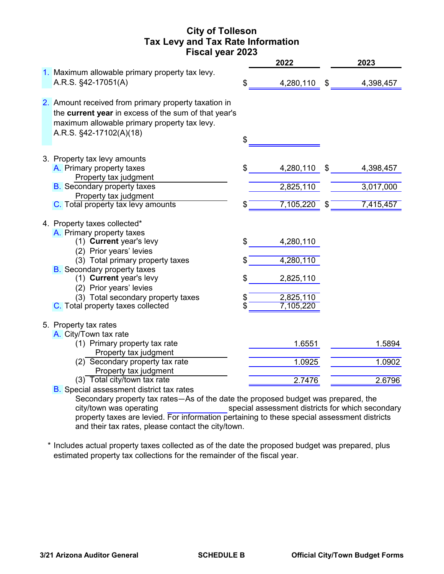# **City of Tolleson Tax Levy and Tax Rate Information Fiscal year 2023**

|                                                                                                                                                                                                                      |                | 2022                                | 2023            |
|----------------------------------------------------------------------------------------------------------------------------------------------------------------------------------------------------------------------|----------------|-------------------------------------|-----------------|
| 1. Maximum allowable primary property tax levy.<br>A.R.S. §42-17051(A)                                                                                                                                               | \$             | 4,280,110                           | \$<br>4,398,457 |
| 2. Amount received from primary property taxation in<br>the current year in excess of the sum of that year's<br>maximum allowable primary property tax levy.<br>A.R.S. §42-17102(A)(18)                              | \$             |                                     |                 |
| 3. Property tax levy amounts<br>A. Primary property taxes<br>Property tax judgment                                                                                                                                   | \$             | 4,280,110                           | \$<br>4,398,457 |
| <b>B.</b> Secondary property taxes<br>Property tax judgment                                                                                                                                                          |                | 2,825,110                           | 3,017,000       |
| C. Total property tax levy amounts                                                                                                                                                                                   | \$             | 7,105,220                           | \$<br>7,415,457 |
| 4. Property taxes collected*<br>A. Primary property taxes<br>(1) Current year's levy<br>(2) Prior years' levies<br>(3) Total primary property taxes<br><b>B.</b> Secondary property taxes<br>(1) Current year's levy | \$<br>\$<br>\$ | 4,280,110<br>4,280,110<br>2,825,110 |                 |
| (2) Prior years' levies<br>(3) Total secondary property taxes<br>C. Total property taxes collected                                                                                                                   | \$             | 2,825,110<br>7,105,220              |                 |
| 5. Property tax rates<br>A. City/Town tax rate<br>(1) Primary property tax rate                                                                                                                                      |                | 1.6551                              | 1.5894          |
| Property tax judgment<br>$(2)$ Secondary property tax rate                                                                                                                                                           |                | 1.0925                              | 1.0902          |
| Property tax judgment<br>(3) Total city/town tax rate<br><b>B.</b> Special assessment district tax rates                                                                                                             |                | 2.7476                              | 2.6796          |

Secondary property tax rates—As of the date the proposed budget was prepared, the special assessment districts for which secondary property taxes are levied. For information pertaining to these special assessment districts and their tax rates, please contact the city/town. city/town was operating

\* Includes actual property taxes collected as of the date the proposed budget was prepared, plus estimated property tax collections for the remainder of the fiscal year.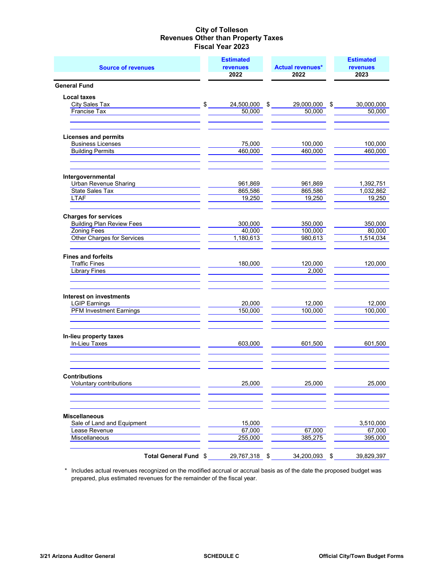| <b>Source of revenues</b>                                       |                            | <b>Estimated</b><br><b>revenues</b><br>2022 | <b>Actual revenues*</b><br>2022 |                  |    | <b>Estimated</b><br><b>revenues</b><br>2023 |  |  |
|-----------------------------------------------------------------|----------------------------|---------------------------------------------|---------------------------------|------------------|----|---------------------------------------------|--|--|
| <b>General Fund</b>                                             |                            |                                             |                                 |                  |    |                                             |  |  |
| <b>Local taxes</b>                                              |                            |                                             |                                 |                  |    |                                             |  |  |
| <b>City Sales Tax</b>                                           | $$\overline{\phantom{a}}$$ | 24,500,000                                  |                                 | $$29,000,000$ \$ |    | 30,000,000                                  |  |  |
| <b>Francise Tax</b>                                             |                            | 50,000                                      |                                 | 50,000           |    | 50,000                                      |  |  |
| <b>Licenses and permits</b>                                     |                            |                                             |                                 |                  |    |                                             |  |  |
| <b>Business Licenses</b>                                        |                            | 75,000                                      |                                 | 100,000          |    | 100,000                                     |  |  |
| <b>Building Permits</b>                                         |                            | 460,000                                     |                                 | 460,000          |    | 460,000                                     |  |  |
| Intergovernmental                                               |                            |                                             |                                 |                  |    |                                             |  |  |
| Urban Revenue Sharing                                           |                            | 961,869                                     |                                 | 961,869          |    | 1,392,751                                   |  |  |
| State Sales Tax                                                 |                            | 865,586                                     |                                 | 865,586          |    | 1,032,862                                   |  |  |
| <b>LTAF</b>                                                     |                            | 19,250                                      |                                 | 19,250           |    | 19,250                                      |  |  |
| <b>Charges for services</b><br><b>Building Plan Review Fees</b> |                            |                                             |                                 | 350,000          |    | 350,000                                     |  |  |
| <b>Zoning Fees</b>                                              |                            | 300,000<br>40,000                           |                                 | 100,000          |    | 80,000                                      |  |  |
| <b>Other Charges for Services</b>                               |                            | 1,180,613                                   |                                 | 980,613          |    | 1,514,034                                   |  |  |
| <b>Fines and forfeits</b>                                       |                            |                                             |                                 |                  |    |                                             |  |  |
| <b>Traffic Fines</b>                                            |                            | 180,000                                     |                                 | 120,000          |    | 120,000                                     |  |  |
| <b>Library Fines</b>                                            |                            |                                             |                                 | 2,000            |    |                                             |  |  |
| Interest on investments                                         |                            |                                             |                                 |                  |    |                                             |  |  |
| <b>LGIP Earnings</b>                                            |                            | 20,000                                      |                                 | 12,000           |    | 12,000                                      |  |  |
| <b>PFM Investment Earnings</b>                                  |                            | 150,000                                     |                                 | 100,000          |    | 100,000                                     |  |  |
| In-lieu property taxes                                          |                            |                                             |                                 |                  |    |                                             |  |  |
| In-Lieu Taxes                                                   |                            | 603,000                                     |                                 | 601,500          |    | 601,500                                     |  |  |
| <b>Contributions</b>                                            |                            |                                             |                                 |                  |    |                                             |  |  |
| Voluntary contributions                                         |                            | 25,000                                      |                                 | 25,000           |    | 25,000                                      |  |  |
| <b>Miscellaneous</b>                                            |                            |                                             |                                 |                  |    |                                             |  |  |
| Sale of Land and Equipment                                      |                            | 15,000                                      |                                 |                  |    | 3,510,000                                   |  |  |
| Lease Revenue                                                   |                            | 67,000                                      |                                 | 67,000           |    | 67,000                                      |  |  |
| Miscellaneous                                                   |                            | 255,000                                     |                                 | 385,275          |    | 395,000                                     |  |  |
| Total General Fund \$                                           |                            | 29,767,318                                  | \$                              | 34,200,093       | \$ | 39,829,397                                  |  |  |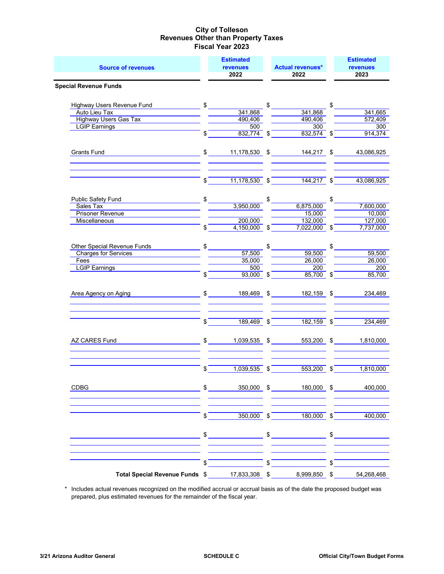| <b>Source of revenues</b>                   |              | <b>Estimated</b><br>revenues<br>2022 | <b>Actual revenues*</b><br>2022  | <b>Estimated</b><br><b>revenues</b><br>2023 |
|---------------------------------------------|--------------|--------------------------------------|----------------------------------|---------------------------------------------|
| <b>Special Revenue Funds</b>                |              |                                      |                                  |                                             |
| <b>Highway Users Revenue Fund</b>           | $\mathbb{S}$ |                                      | \$                               | \$                                          |
| <b>Auto Lieu Tax</b>                        |              | 341,868                              | 341,868                          | 341,665                                     |
| <b>Highway Users Gas Tax</b>                |              | 490,406                              | 490,406                          | 572,409                                     |
| <b>LGIP Earnings</b>                        |              | 500                                  | 300                              | 300                                         |
|                                             | \$           | $832,774$ \$                         | $832,574$ \$                     | 914,374                                     |
| <b>Grants Fund</b>                          | \$           | 11,178,530 \$                        | 144,217                          | \$<br>43,086,925                            |
|                                             | \$           | $11,178,530$ \$                      | 144,217                          | \$<br>43,086,925                            |
| <b>Public Safety Fund</b>                   | \$           |                                      | \$                               | \$                                          |
| Sales Tax                                   |              | 3,950,000                            | 6,875,000                        | 7,600,000                                   |
| <b>Prisoner Revenue</b>                     |              |                                      | 15,000                           | 10,000                                      |
| Miscellaneous                               |              | 200,000                              | 132,000                          | 127,000                                     |
|                                             | \$           | 4,150,000                            | \$<br>7,022,000                  | \$<br>7,737,000                             |
| Other Special Revenue Funds                 | \$           |                                      | \$                               | \$                                          |
| <b>Charges for Services</b>                 |              | 57,500                               | 59,500                           | 59,500                                      |
| Fees                                        |              | 35,000                               | 26,000                           | 26,000                                      |
| <b>LGIP Earnings</b>                        |              | 500                                  | 200                              | 200                                         |
|                                             | \$           | $93,000$ \$                          | 85,700                           | \$<br>85,700                                |
| Area Agency on Aging                        |              | 189,469 \$                           | 182,159                          | \$<br>234,469                               |
|                                             | \$           | $189,469$ \$                         | $182, 159$ \$                    | 234,469                                     |
| AZ CARES Fund                               | \$           | 1,039,535 \$                         | 553,200 \$                       | 1,810,000                                   |
|                                             | \$           | 1,039,535                            | \$<br>553,200                    | \$<br>1,810,000                             |
| CDBG                                        |              |                                      | \$ 350,000 \$ 180,000 \$ 400,000 |                                             |
|                                             | $\sqrt[6]{}$ |                                      | $350,000$ \$ $180,000$ \$        | 400,000                                     |
|                                             |              | $\frac{1}{2}$                        | $\frac{1}{2}$                    | $\frac{1}{2}$                               |
|                                             | \$           |                                      | \$                               | \$                                          |
| Total Special Revenue Funds \$17,833,308 \$ |              |                                      | 8,999,850 \$                     | 54,268,468                                  |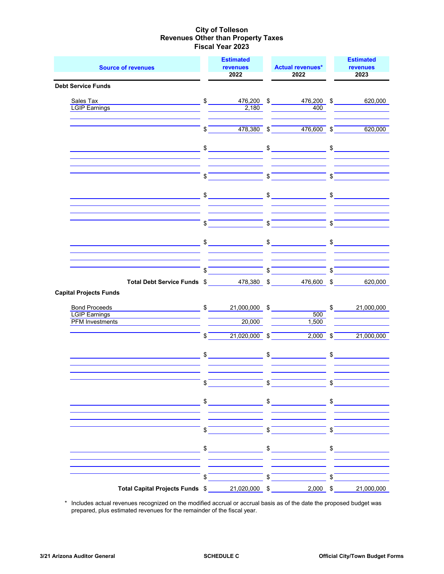| <b>Source of revenues</b>                                                                                                                                                                                                                                                     |                         | <b>Estimated</b><br><b>revenues</b><br>2022                                                                                                                                                                                                                                                                                                                                                                                                                                                                                                                                                                                                                                                                                                                |              | <b>Actual revenues*</b><br>2022                                                                                                                                                                                                                                                                                     |                       | <b>Estimated</b><br><b>revenues</b><br>2023                |
|-------------------------------------------------------------------------------------------------------------------------------------------------------------------------------------------------------------------------------------------------------------------------------|-------------------------|------------------------------------------------------------------------------------------------------------------------------------------------------------------------------------------------------------------------------------------------------------------------------------------------------------------------------------------------------------------------------------------------------------------------------------------------------------------------------------------------------------------------------------------------------------------------------------------------------------------------------------------------------------------------------------------------------------------------------------------------------------|--------------|---------------------------------------------------------------------------------------------------------------------------------------------------------------------------------------------------------------------------------------------------------------------------------------------------------------------|-----------------------|------------------------------------------------------------|
| <b>Debt Service Funds</b>                                                                                                                                                                                                                                                     |                         |                                                                                                                                                                                                                                                                                                                                                                                                                                                                                                                                                                                                                                                                                                                                                            |              |                                                                                                                                                                                                                                                                                                                     |                       |                                                            |
| Sales Tax<br><b>LGIP Earnings</b>                                                                                                                                                                                                                                             |                         | $$\overline{\hspace{1.5cm}}$$<br>2,180                                                                                                                                                                                                                                                                                                                                                                                                                                                                                                                                                                                                                                                                                                                     |              | 476,200 \$<br>476,200 \$<br>400                                                                                                                                                                                                                                                                                     |                       | 620,000                                                    |
|                                                                                                                                                                                                                                                                               | $\sqrt[6]{\frac{1}{2}}$ | $478,380$ \$                                                                                                                                                                                                                                                                                                                                                                                                                                                                                                                                                                                                                                                                                                                                               |              | $476,600$ \$                                                                                                                                                                                                                                                                                                        |                       | 620,000                                                    |
|                                                                                                                                                                                                                                                                               |                         | $\updownarrow$                                                                                                                                                                                                                                                                                                                                                                                                                                                                                                                                                                                                                                                                                                                                             |              | $\frac{1}{2}$                                                                                                                                                                                                                                                                                                       |                       | $\frac{1}{2}$                                              |
|                                                                                                                                                                                                                                                                               | \$                      |                                                                                                                                                                                                                                                                                                                                                                                                                                                                                                                                                                                                                                                                                                                                                            | \$           |                                                                                                                                                                                                                                                                                                                     | \$                    |                                                            |
|                                                                                                                                                                                                                                                                               |                         | $\begin{array}{c c} \updownarrow & \downarrow \\ \downarrow & \downarrow \\ \downarrow & \downarrow \\ \downarrow & \downarrow \\ \downarrow & \downarrow \\ \downarrow & \downarrow \\ \downarrow & \downarrow \\ \downarrow & \downarrow \\ \downarrow & \downarrow \\ \downarrow & \downarrow \\ \downarrow & \downarrow \\ \downarrow & \downarrow \\ \downarrow & \downarrow \\ \downarrow & \downarrow \\ \downarrow & \downarrow \\ \downarrow & \downarrow \\ \downarrow & \downarrow \\ \downarrow & \downarrow \\ \downarrow & \downarrow \\ \downarrow & \downarrow \\ \downarrow & \downarrow \\ \downarrow & \downarrow \\ \downarrow & \downarrow \\ \downarrow & \downarrow \\ \downarrow & \downarrow \\ \downarrow & \downarrow \\ \down$ |              | $\frac{1}{2}$                                                                                                                                                                                                                                                                                                       |                       | $\frac{1}{\sqrt{1-\frac{1}{2}}\left(1-\frac{1}{2}\right)}$ |
|                                                                                                                                                                                                                                                                               | \$                      |                                                                                                                                                                                                                                                                                                                                                                                                                                                                                                                                                                                                                                                                                                                                                            | \$           |                                                                                                                                                                                                                                                                                                                     | \$                    |                                                            |
|                                                                                                                                                                                                                                                                               |                         |                                                                                                                                                                                                                                                                                                                                                                                                                                                                                                                                                                                                                                                                                                                                                            |              |                                                                                                                                                                                                                                                                                                                     |                       | $\sim$                                                     |
|                                                                                                                                                                                                                                                                               |                         | $\int$                                                                                                                                                                                                                                                                                                                                                                                                                                                                                                                                                                                                                                                                                                                                                     |              | $\sqrt{2}$                                                                                                                                                                                                                                                                                                          | $\overline{\text{S}}$ |                                                            |
| Total Debt Service Funds \$478,380 \$<br><b>Capital Projects Funds</b>                                                                                                                                                                                                        |                         |                                                                                                                                                                                                                                                                                                                                                                                                                                                                                                                                                                                                                                                                                                                                                            |              | 476,600 \$                                                                                                                                                                                                                                                                                                          |                       | 620,000                                                    |
| Bond Proceeds <b>Example 20</b> Section 20 Apr 20 Section 20 Apr 20 Apr 20 Section 20 Apr 20 Apr 20 Section 20 Apr 20 Apr 20 Apr 20 Apr 20 Apr 20 Apr 20 Apr 20 Apr 20 Apr 20 Apr 20 Apr 20 Apr 20 Apr 20 Apr 20 Apr 20 Apr 20 Apr<br>LGIP Earnings<br><b>PFM Investments</b> |                         | $\frac{\sqrt{21,000,000}}{\sqrt{21,000,000}}$ \$<br>20,000                                                                                                                                                                                                                                                                                                                                                                                                                                                                                                                                                                                                                                                                                                 |              | 500<br>1,500                                                                                                                                                                                                                                                                                                        |                       | $\mathbb{S}$<br>21,000,000                                 |
|                                                                                                                                                                                                                                                                               | $\mathbb{S}$            | $21,020,000$ \$                                                                                                                                                                                                                                                                                                                                                                                                                                                                                                                                                                                                                                                                                                                                            |              | $2,000$ \$                                                                                                                                                                                                                                                                                                          |                       | 21,000,000                                                 |
|                                                                                                                                                                                                                                                                               |                         |                                                                                                                                                                                                                                                                                                                                                                                                                                                                                                                                                                                                                                                                                                                                                            |              | $\frac{1}{2}$ $\frac{1}{2}$ $\frac{1}{2}$ $\frac{1}{2}$ $\frac{1}{2}$ $\frac{1}{2}$ $\frac{1}{2}$ $\frac{1}{2}$ $\frac{1}{2}$ $\frac{1}{2}$ $\frac{1}{2}$ $\frac{1}{2}$ $\frac{1}{2}$ $\frac{1}{2}$ $\frac{1}{2}$ $\frac{1}{2}$ $\frac{1}{2}$ $\frac{1}{2}$ $\frac{1}{2}$ $\frac{1}{2}$ $\frac{1}{2}$ $\frac{1}{2}$ |                       |                                                            |
|                                                                                                                                                                                                                                                                               | \$                      |                                                                                                                                                                                                                                                                                                                                                                                                                                                                                                                                                                                                                                                                                                                                                            |              |                                                                                                                                                                                                                                                                                                                     |                       |                                                            |
|                                                                                                                                                                                                                                                                               | \$                      |                                                                                                                                                                                                                                                                                                                                                                                                                                                                                                                                                                                                                                                                                                                                                            | \$           |                                                                                                                                                                                                                                                                                                                     | \$                    |                                                            |
|                                                                                                                                                                                                                                                                               | $\sqrt{2}$              |                                                                                                                                                                                                                                                                                                                                                                                                                                                                                                                                                                                                                                                                                                                                                            | $\sqrt[6]{}$ |                                                                                                                                                                                                                                                                                                                     | $\sqrt[6]{ }$         |                                                            |
|                                                                                                                                                                                                                                                                               |                         | $\frac{1}{\sqrt{2}}$                                                                                                                                                                                                                                                                                                                                                                                                                                                                                                                                                                                                                                                                                                                                       |              | $\frac{1}{\sqrt{2}}$                                                                                                                                                                                                                                                                                                |                       | $\frac{1}{\sqrt{2}}$                                       |
|                                                                                                                                                                                                                                                                               | \$                      |                                                                                                                                                                                                                                                                                                                                                                                                                                                                                                                                                                                                                                                                                                                                                            | \$           |                                                                                                                                                                                                                                                                                                                     | \$                    |                                                            |
|                                                                                                                                                                                                                                                                               |                         |                                                                                                                                                                                                                                                                                                                                                                                                                                                                                                                                                                                                                                                                                                                                                            |              | $2,000$ \$                                                                                                                                                                                                                                                                                                          |                       | 21,000,000                                                 |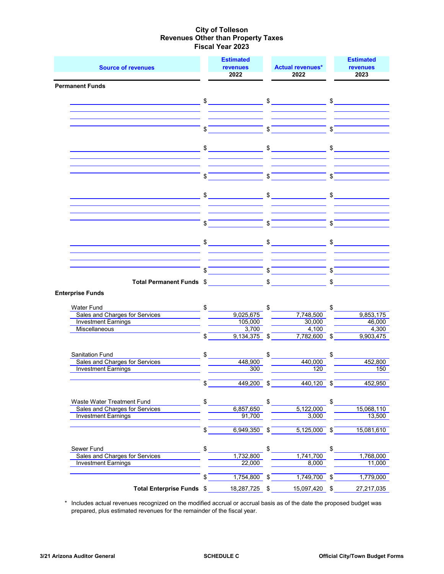|                                                                                                                      |                                        | <b>Estimated</b>                                                                                                                                                                                                                                                                                                                                                                                                                |                           |                                                                                                                                                                                                                                                                                                                                                                                                                                 |               | <b>Estimated</b> |
|----------------------------------------------------------------------------------------------------------------------|----------------------------------------|---------------------------------------------------------------------------------------------------------------------------------------------------------------------------------------------------------------------------------------------------------------------------------------------------------------------------------------------------------------------------------------------------------------------------------|---------------------------|---------------------------------------------------------------------------------------------------------------------------------------------------------------------------------------------------------------------------------------------------------------------------------------------------------------------------------------------------------------------------------------------------------------------------------|---------------|------------------|
| <b>Source of revenues</b>                                                                                            |                                        | <b>revenues</b>                                                                                                                                                                                                                                                                                                                                                                                                                 |                           | <b>Actual revenues*</b>                                                                                                                                                                                                                                                                                                                                                                                                         |               | <b>revenues</b>  |
|                                                                                                                      |                                        | 2022                                                                                                                                                                                                                                                                                                                                                                                                                            |                           | 2022                                                                                                                                                                                                                                                                                                                                                                                                                            |               | 2023             |
| <b>Permanent Funds</b>                                                                                               |                                        |                                                                                                                                                                                                                                                                                                                                                                                                                                 |                           |                                                                                                                                                                                                                                                                                                                                                                                                                                 |               |                  |
| <u> Alexandro de la contrada de la contrada de la contrada de la contrada de la contrada de la contrada de la co</u> |                                        | $\frac{1}{\sqrt{1-\frac{1}{2}}}\frac{1}{\sqrt{1-\frac{1}{2}}}\frac{1}{\sqrt{1-\frac{1}{2}}}\frac{1}{\sqrt{1-\frac{1}{2}}}\frac{1}{\sqrt{1-\frac{1}{2}}}\frac{1}{\sqrt{1-\frac{1}{2}}}\frac{1}{\sqrt{1-\frac{1}{2}}}\frac{1}{\sqrt{1-\frac{1}{2}}}\frac{1}{\sqrt{1-\frac{1}{2}}}\frac{1}{\sqrt{1-\frac{1}{2}}}\frac{1}{\sqrt{1-\frac{1}{2}}}\frac{1}{\sqrt{1-\frac{1}{2}}}\frac{1}{\sqrt{1-\frac{1}{2}}}\frac{1}{\sqrt{1-\frac{$ |                           | $\frac{1}{\sqrt{1-\frac{1}{2}}}\frac{1}{\sqrt{1-\frac{1}{2}}}\frac{1}{\sqrt{1-\frac{1}{2}}}\frac{1}{\sqrt{1-\frac{1}{2}}}\frac{1}{\sqrt{1-\frac{1}{2}}}\frac{1}{\sqrt{1-\frac{1}{2}}}\frac{1}{\sqrt{1-\frac{1}{2}}}\frac{1}{\sqrt{1-\frac{1}{2}}}\frac{1}{\sqrt{1-\frac{1}{2}}}\frac{1}{\sqrt{1-\frac{1}{2}}}\frac{1}{\sqrt{1-\frac{1}{2}}}\frac{1}{\sqrt{1-\frac{1}{2}}}\frac{1}{\sqrt{1-\frac{1}{2}}}\frac{1}{\sqrt{1-\frac{$ |               | $\sim$           |
|                                                                                                                      |                                        |                                                                                                                                                                                                                                                                                                                                                                                                                                 |                           |                                                                                                                                                                                                                                                                                                                                                                                                                                 |               |                  |
|                                                                                                                      |                                        |                                                                                                                                                                                                                                                                                                                                                                                                                                 |                           |                                                                                                                                                                                                                                                                                                                                                                                                                                 |               |                  |
|                                                                                                                      | \$                                     |                                                                                                                                                                                                                                                                                                                                                                                                                                 | $\mathbf{s}$              |                                                                                                                                                                                                                                                                                                                                                                                                                                 | \$            |                  |
|                                                                                                                      |                                        |                                                                                                                                                                                                                                                                                                                                                                                                                                 |                           |                                                                                                                                                                                                                                                                                                                                                                                                                                 |               |                  |
|                                                                                                                      |                                        | $\frac{1}{2}$                                                                                                                                                                                                                                                                                                                                                                                                                   |                           | $\frac{1}{2}$                                                                                                                                                                                                                                                                                                                                                                                                                   | \$            |                  |
|                                                                                                                      |                                        |                                                                                                                                                                                                                                                                                                                                                                                                                                 |                           |                                                                                                                                                                                                                                                                                                                                                                                                                                 |               |                  |
|                                                                                                                      | $\sqrt[3]{\phantom{a}^{\phantom{a}}}\$ |                                                                                                                                                                                                                                                                                                                                                                                                                                 | \$                        |                                                                                                                                                                                                                                                                                                                                                                                                                                 | \$            |                  |
|                                                                                                                      | $$\overline{\phantom{a}}$$             |                                                                                                                                                                                                                                                                                                                                                                                                                                 |                           | $\frac{1}{2}$                                                                                                                                                                                                                                                                                                                                                                                                                   |               | $\frac{1}{2}$    |
|                                                                                                                      | \$                                     |                                                                                                                                                                                                                                                                                                                                                                                                                                 | $\sqrt{s}$                |                                                                                                                                                                                                                                                                                                                                                                                                                                 | \$            |                  |
|                                                                                                                      |                                        | $\sim$                                                                                                                                                                                                                                                                                                                                                                                                                          |                           | $\sim$                                                                                                                                                                                                                                                                                                                                                                                                                          |               | $\frac{1}{2}$    |
|                                                                                                                      |                                        |                                                                                                                                                                                                                                                                                                                                                                                                                                 |                           |                                                                                                                                                                                                                                                                                                                                                                                                                                 |               |                  |
|                                                                                                                      |                                        | $\int$                                                                                                                                                                                                                                                                                                                                                                                                                          |                           |                                                                                                                                                                                                                                                                                                                                                                                                                                 | $\mathfrak s$ |                  |
| Total Permanent Funds \$                                                                                             |                                        |                                                                                                                                                                                                                                                                                                                                                                                                                                 |                           | $$\overbrace{\hspace{2.5cm}}$                                                                                                                                                                                                                                                                                                                                                                                                   | \$            |                  |
| <b>Enterprise Funds</b>                                                                                              |                                        |                                                                                                                                                                                                                                                                                                                                                                                                                                 |                           |                                                                                                                                                                                                                                                                                                                                                                                                                                 |               |                  |
| <b>Water Fund</b><br>Sales and Charges for Services                                                                  | $\frac{1}{2}$                          | 9,025,675                                                                                                                                                                                                                                                                                                                                                                                                                       | \$                        | 7,748,500                                                                                                                                                                                                                                                                                                                                                                                                                       | \$            | 9,853,175        |
| <b>Investment Earnings</b>                                                                                           |                                        | 105,000                                                                                                                                                                                                                                                                                                                                                                                                                         |                           | 30,000                                                                                                                                                                                                                                                                                                                                                                                                                          |               | 46,000           |
| Miscellaneous                                                                                                        |                                        | 3,700                                                                                                                                                                                                                                                                                                                                                                                                                           |                           | 4,100                                                                                                                                                                                                                                                                                                                                                                                                                           |               | 4,300            |
|                                                                                                                      | \$                                     | $9,134,375$ \$                                                                                                                                                                                                                                                                                                                                                                                                                  |                           | $7,782,600$ \$                                                                                                                                                                                                                                                                                                                                                                                                                  |               | 9,903,475        |
| Sanitation Fund                                                                                                      | \$                                     |                                                                                                                                                                                                                                                                                                                                                                                                                                 | $\mathfrak{S}$            |                                                                                                                                                                                                                                                                                                                                                                                                                                 | \$            |                  |
| Sales and Charges for Services                                                                                       |                                        | 448,900                                                                                                                                                                                                                                                                                                                                                                                                                         |                           | 440,000                                                                                                                                                                                                                                                                                                                                                                                                                         |               | 452,800          |
| <b>Investment Earnings</b>                                                                                           |                                        | 300                                                                                                                                                                                                                                                                                                                                                                                                                             |                           | 120                                                                                                                                                                                                                                                                                                                                                                                                                             |               | 150              |
|                                                                                                                      |                                        |                                                                                                                                                                                                                                                                                                                                                                                                                                 |                           |                                                                                                                                                                                                                                                                                                                                                                                                                                 |               |                  |
|                                                                                                                      | \$                                     | 449,200                                                                                                                                                                                                                                                                                                                                                                                                                         | \$                        | 440,120                                                                                                                                                                                                                                                                                                                                                                                                                         | \$            | 452,950          |
| Waste Water Treatment Fund                                                                                           | \$                                     |                                                                                                                                                                                                                                                                                                                                                                                                                                 | \$                        |                                                                                                                                                                                                                                                                                                                                                                                                                                 | \$            |                  |
| Sales and Charges for Services                                                                                       |                                        | 6,857,650                                                                                                                                                                                                                                                                                                                                                                                                                       |                           | 5,122,000                                                                                                                                                                                                                                                                                                                                                                                                                       |               | 15,068,110       |
| <b>Investment Earnings</b>                                                                                           |                                        | 91,700                                                                                                                                                                                                                                                                                                                                                                                                                          |                           | 3,000                                                                                                                                                                                                                                                                                                                                                                                                                           |               | 13,500           |
|                                                                                                                      | \$                                     | 6,949,350                                                                                                                                                                                                                                                                                                                                                                                                                       | \$                        | 5,125,000                                                                                                                                                                                                                                                                                                                                                                                                                       | \$            | 15,081,610       |
| Sewer Fund                                                                                                           | \$                                     |                                                                                                                                                                                                                                                                                                                                                                                                                                 | \$                        |                                                                                                                                                                                                                                                                                                                                                                                                                                 | \$            |                  |
| Sales and Charges for Services                                                                                       |                                        | 1,732,800                                                                                                                                                                                                                                                                                                                                                                                                                       |                           | 1,741,700                                                                                                                                                                                                                                                                                                                                                                                                                       |               | 1,768,000        |
| <b>Investment Earnings</b>                                                                                           |                                        | 22,000                                                                                                                                                                                                                                                                                                                                                                                                                          |                           | 8,000                                                                                                                                                                                                                                                                                                                                                                                                                           |               | 11,000           |
|                                                                                                                      | \$                                     | 1,754,800                                                                                                                                                                                                                                                                                                                                                                                                                       | \$                        | 1,749,700                                                                                                                                                                                                                                                                                                                                                                                                                       | \$            | 1,779,000        |
| Total Enterprise Funds \$                                                                                            |                                        | 18,287,725                                                                                                                                                                                                                                                                                                                                                                                                                      | $\boldsymbol{\mathsf{S}}$ | 15,097,420                                                                                                                                                                                                                                                                                                                                                                                                                      | \$            | 27, 217, 035     |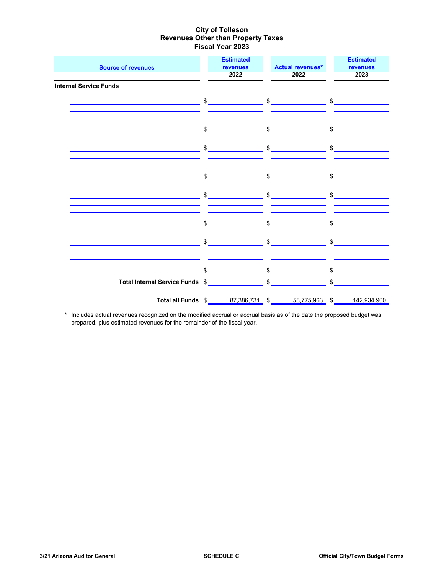| <b>Source of revenues</b>                                                     | <b>Estimated</b><br>revenues<br>2022                                                                                                                                                                                                                                                                                | <b>Actual revenues*</b><br>2022                                                                                                                                                                                                                                                                                                                                                                                                                                                 | <b>Estimated</b><br>revenues<br>2023 |
|-------------------------------------------------------------------------------|---------------------------------------------------------------------------------------------------------------------------------------------------------------------------------------------------------------------------------------------------------------------------------------------------------------------|---------------------------------------------------------------------------------------------------------------------------------------------------------------------------------------------------------------------------------------------------------------------------------------------------------------------------------------------------------------------------------------------------------------------------------------------------------------------------------|--------------------------------------|
| <b>Internal Service Funds</b><br><u> 1980 - Jan Samuel Barbara, poeta esp</u> |                                                                                                                                                                                                                                                                                                                     | $\frac{1}{2}$ \$                                                                                                                                                                                                                                                                                                                                                                                                                                                                |                                      |
|                                                                               |                                                                                                                                                                                                                                                                                                                     |                                                                                                                                                                                                                                                                                                                                                                                                                                                                                 |                                      |
| <u> 1980 - Johann John Stein, markin santa a</u>                              | \$                                                                                                                                                                                                                                                                                                                  | $\int$<br>$\frac{1}{2}$ \$                                                                                                                                                                                                                                                                                                                                                                                                                                                      | $\int$                               |
|                                                                               |                                                                                                                                                                                                                                                                                                                     |                                                                                                                                                                                                                                                                                                                                                                                                                                                                                 |                                      |
|                                                                               | \$                                                                                                                                                                                                                                                                                                                  | $\overline{\phantom{a}}$ $\overline{\phantom{a}}$ $\overline{\phantom{a}}$ $\overline{\phantom{a}}$ $\overline{\phantom{a}}$ $\overline{\phantom{a}}$ $\overline{\phantom{a}}$ $\overline{\phantom{a}}$ $\overline{\phantom{a}}$ $\overline{\phantom{a}}$ $\overline{\phantom{a}}$ $\overline{\phantom{a}}$ $\overline{\phantom{a}}$ $\overline{\phantom{a}}$ $\overline{\phantom{a}}$ $\overline{\phantom{a}}$ $\overline{\phantom{a}}$ $\overline{\phantom{a}}$ $\overline{\$ |                                      |
|                                                                               |                                                                                                                                                                                                                                                                                                                     | $\frac{1}{2}$ $\frac{1}{2}$ $\frac{1}{2}$ $\frac{1}{2}$ $\frac{1}{2}$ $\frac{1}{2}$ $\frac{1}{2}$ $\frac{1}{2}$ $\frac{1}{2}$ $\frac{1}{2}$ $\frac{1}{2}$ $\frac{1}{2}$ $\frac{1}{2}$ $\frac{1}{2}$ $\frac{1}{2}$ $\frac{1}{2}$ $\frac{1}{2}$ $\frac{1}{2}$ $\frac{1}{2}$ $\frac{1}{2}$ $\frac{1}{2}$ $\frac{1}{2}$                                                                                                                                                             |                                      |
|                                                                               | \$                                                                                                                                                                                                                                                                                                                  | $ \int$                                                                                                                                                                                                                                                                                                                                                                                                                                                                         | $-$ s $-$                            |
| <u> 1990 - Johann John Stein, markin samti som blev startet og s</u>          |                                                                                                                                                                                                                                                                                                                     | $\begin{array}{ccc}\n\text{\$} & \text{\$} & \text{\$} & \text{\$} & \text{\$} & \text{\$} & \text{\$} & \text{\$} & \text{\$} & \text{\$} & \text{\$} & \text{\$} & \text{\$} & \text{\$} & \text{\$} & \text{\$} & \text{\$} & \text{\$} & \text{\$} & \text{\$} & \text{\$} & \text{\$} & \text{\$} & \text{\$} & \text{\$} & \text{\$} & \text{\$} & \text{\$} & \text{\$} & \text{\$} & \text{\$} & \text{\$} & \text{\$} & \text{\$} & \text{\$} & \text$                 |                                      |
|                                                                               | $\frac{1}{2}$ $\frac{1}{2}$ $\frac{1}{2}$ $\frac{1}{2}$ $\frac{1}{2}$ $\frac{1}{2}$ $\frac{1}{2}$ $\frac{1}{2}$ $\frac{1}{2}$ $\frac{1}{2}$ $\frac{1}{2}$ $\frac{1}{2}$ $\frac{1}{2}$ $\frac{1}{2}$ $\frac{1}{2}$ $\frac{1}{2}$ $\frac{1}{2}$ $\frac{1}{2}$ $\frac{1}{2}$ $\frac{1}{2}$ $\frac{1}{2}$ $\frac{1}{2}$ |                                                                                                                                                                                                                                                                                                                                                                                                                                                                                 | $\int$                               |
| Total Internal Service Funds \$                                               |                                                                                                                                                                                                                                                                                                                     |                                                                                                                                                                                                                                                                                                                                                                                                                                                                                 | $\frac{1}{2}$                        |
|                                                                               |                                                                                                                                                                                                                                                                                                                     |                                                                                                                                                                                                                                                                                                                                                                                                                                                                                 |                                      |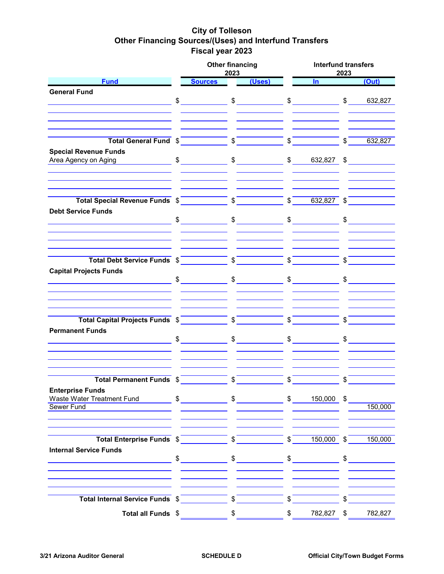## **City of Tolleson Other Financing Sources/(Uses) and Interfund Transfers Fiscal year 2023**

|                                                                                                                                                                                                                                                                                                                                                                                                        | <b>Other financing</b><br>2023                                                                                                                                                                                                                                                                                                                                                                                                                                   |                         |                      |        | <b>Interfund transfers</b><br>2023 |              |                      |  |  |  |  |
|--------------------------------------------------------------------------------------------------------------------------------------------------------------------------------------------------------------------------------------------------------------------------------------------------------------------------------------------------------------------------------------------------------|------------------------------------------------------------------------------------------------------------------------------------------------------------------------------------------------------------------------------------------------------------------------------------------------------------------------------------------------------------------------------------------------------------------------------------------------------------------|-------------------------|----------------------|--------|------------------------------------|--------------|----------------------|--|--|--|--|
| <b>Fund</b>                                                                                                                                                                                                                                                                                                                                                                                            | <b>Sources</b>                                                                                                                                                                                                                                                                                                                                                                                                                                                   |                         | (Uses)               |        | $\ln$                              |              | (Out)                |  |  |  |  |
| <b>General Fund</b>                                                                                                                                                                                                                                                                                                                                                                                    |                                                                                                                                                                                                                                                                                                                                                                                                                                                                  |                         |                      |        |                                    |              |                      |  |  |  |  |
|                                                                                                                                                                                                                                                                                                                                                                                                        | $\begin{array}{ccc} \text{\$} & \text{\$} & \text{\$} & \text{\$} & \text{\$} & \text{\$} & \text{\$} & \text{\$} & \text{\$} & \text{\$} & \text{\$} & \text{\$} & \text{\$} & \text{\$} & \text{\$} & \text{\$} & \text{\$} & \text{\$} & \text{\$} & \text{\$} & \text{\$} & \text{\$} & \text{\$} & \text{\$} & \text{\$} & \text{\$} & \text{\$} & \text{\$} & \text{\$} & \text{\$} & \text{\$} & \text{\$} & \text{\$} & \text{\$} & \text{\$} & \text{\$ |                         |                      |        |                                    |              | \$ 632,827           |  |  |  |  |
|                                                                                                                                                                                                                                                                                                                                                                                                        |                                                                                                                                                                                                                                                                                                                                                                                                                                                                  |                         |                      |        |                                    |              |                      |  |  |  |  |
|                                                                                                                                                                                                                                                                                                                                                                                                        |                                                                                                                                                                                                                                                                                                                                                                                                                                                                  |                         |                      |        |                                    |              |                      |  |  |  |  |
|                                                                                                                                                                                                                                                                                                                                                                                                        |                                                                                                                                                                                                                                                                                                                                                                                                                                                                  |                         |                      |        |                                    |              |                      |  |  |  |  |
|                                                                                                                                                                                                                                                                                                                                                                                                        |                                                                                                                                                                                                                                                                                                                                                                                                                                                                  |                         |                      |        |                                    |              |                      |  |  |  |  |
| Total General Fund $\sqrt[6]{\hspace{1cm} \sqrt[6]{\hspace{1cm} \sqrt[6]{\hspace{1cm} \sqrt[6]{\hspace{1cm} \sqrt[6]{\hspace{1cm} \times \hspace{1cm} \sqrt[6]{\hspace{1cm} \times \hspace{1cm} \times \hspace{1cm} \times \hspace{1cm}}}}}} \sqrt[6]{\hspace{1cm} \sqrt[6]{\hspace{1cm} \sqrt[6]{\hspace{1cm} \sqrt[6]{\hspace{1cm} \times \hspace{1cm} \times \hspace{1cm} \times \hspace{1cm}}}}}}$ |                                                                                                                                                                                                                                                                                                                                                                                                                                                                  |                         |                      |        |                                    | $\int$       | 632,827              |  |  |  |  |
| <b>Special Revenue Funds</b>                                                                                                                                                                                                                                                                                                                                                                           |                                                                                                                                                                                                                                                                                                                                                                                                                                                                  |                         |                      |        |                                    |              |                      |  |  |  |  |
| <b>Area Agency on Aging</b>                                                                                                                                                                                                                                                                                                                                                                            |                                                                                                                                                                                                                                                                                                                                                                                                                                                                  |                         |                      |        | $$ 632,827$ \$                     |              |                      |  |  |  |  |
|                                                                                                                                                                                                                                                                                                                                                                                                        |                                                                                                                                                                                                                                                                                                                                                                                                                                                                  |                         |                      |        |                                    |              |                      |  |  |  |  |
|                                                                                                                                                                                                                                                                                                                                                                                                        |                                                                                                                                                                                                                                                                                                                                                                                                                                                                  |                         |                      |        |                                    |              |                      |  |  |  |  |
|                                                                                                                                                                                                                                                                                                                                                                                                        |                                                                                                                                                                                                                                                                                                                                                                                                                                                                  |                         |                      |        |                                    |              |                      |  |  |  |  |
|                                                                                                                                                                                                                                                                                                                                                                                                        |                                                                                                                                                                                                                                                                                                                                                                                                                                                                  |                         |                      |        |                                    |              |                      |  |  |  |  |
| <b>Debt Service Funds</b>                                                                                                                                                                                                                                                                                                                                                                              |                                                                                                                                                                                                                                                                                                                                                                                                                                                                  |                         |                      |        |                                    |              |                      |  |  |  |  |
|                                                                                                                                                                                                                                                                                                                                                                                                        | $\frac{1}{2}$ $\frac{1}{2}$ $\frac{1}{2}$ $\frac{1}{2}$ $\frac{1}{2}$ $\frac{1}{2}$ $\frac{1}{2}$ $\frac{1}{2}$ $\frac{1}{2}$ $\frac{1}{2}$ $\frac{1}{2}$ $\frac{1}{2}$ $\frac{1}{2}$ $\frac{1}{2}$ $\frac{1}{2}$ $\frac{1}{2}$ $\frac{1}{2}$ $\frac{1}{2}$ $\frac{1}{2}$ $\frac{1}{2}$ $\frac{1}{2}$ $\frac{1}{2}$                                                                                                                                              |                         |                      |        | $\frac{1}{2}$                      |              | $\frac{1}{2}$        |  |  |  |  |
|                                                                                                                                                                                                                                                                                                                                                                                                        |                                                                                                                                                                                                                                                                                                                                                                                                                                                                  |                         |                      |        |                                    |              |                      |  |  |  |  |
|                                                                                                                                                                                                                                                                                                                                                                                                        |                                                                                                                                                                                                                                                                                                                                                                                                                                                                  |                         |                      |        |                                    |              |                      |  |  |  |  |
|                                                                                                                                                                                                                                                                                                                                                                                                        |                                                                                                                                                                                                                                                                                                                                                                                                                                                                  |                         |                      |        |                                    |              |                      |  |  |  |  |
|                                                                                                                                                                                                                                                                                                                                                                                                        |                                                                                                                                                                                                                                                                                                                                                                                                                                                                  |                         |                      |        |                                    |              |                      |  |  |  |  |
| Total Debt Service Funds $\sqrt{s}$ $\sqrt{s}$                                                                                                                                                                                                                                                                                                                                                         |                                                                                                                                                                                                                                                                                                                                                                                                                                                                  |                         |                      |        | $\frac{1}{2}$                      | $\sqrt{5}$   |                      |  |  |  |  |
| <b>Capital Projects Funds</b>                                                                                                                                                                                                                                                                                                                                                                          |                                                                                                                                                                                                                                                                                                                                                                                                                                                                  |                         |                      |        |                                    |              |                      |  |  |  |  |
|                                                                                                                                                                                                                                                                                                                                                                                                        | $\frac{1}{2}$ $\frac{1}{2}$ $\frac{1}{2}$ $\frac{1}{2}$ $\frac{1}{2}$ $\frac{1}{2}$ $\frac{1}{2}$ $\frac{1}{2}$ $\frac{1}{2}$ $\frac{1}{2}$ $\frac{1}{2}$ $\frac{1}{2}$ $\frac{1}{2}$ $\frac{1}{2}$ $\frac{1}{2}$ $\frac{1}{2}$ $\frac{1}{2}$ $\frac{1}{2}$ $\frac{1}{2}$ $\frac{1}{2}$ $\frac{1}{2}$ $\frac{1}{2}$                                                                                                                                              |                         |                      |        | $\frac{1}{2}$                      |              | $\frac{1}{2}$        |  |  |  |  |
|                                                                                                                                                                                                                                                                                                                                                                                                        |                                                                                                                                                                                                                                                                                                                                                                                                                                                                  |                         |                      |        |                                    |              |                      |  |  |  |  |
|                                                                                                                                                                                                                                                                                                                                                                                                        |                                                                                                                                                                                                                                                                                                                                                                                                                                                                  |                         |                      |        |                                    |              |                      |  |  |  |  |
|                                                                                                                                                                                                                                                                                                                                                                                                        |                                                                                                                                                                                                                                                                                                                                                                                                                                                                  |                         |                      |        |                                    |              |                      |  |  |  |  |
| Total Capital Projects Funds \$                                                                                                                                                                                                                                                                                                                                                                        |                                                                                                                                                                                                                                                                                                                                                                                                                                                                  |                         |                      | $\int$ |                                    | $\sqrt[6]{}$ |                      |  |  |  |  |
| <b>Permanent Funds</b>                                                                                                                                                                                                                                                                                                                                                                                 |                                                                                                                                                                                                                                                                                                                                                                                                                                                                  |                         |                      |        |                                    |              |                      |  |  |  |  |
| <u> 1999 - Johann John Stein, markin san</u>                                                                                                                                                                                                                                                                                                                                                           | $\frac{1}{2}$                                                                                                                                                                                                                                                                                                                                                                                                                                                    |                         | $\frac{1}{2}$        |        | $\frac{1}{2}$                      |              | $\frac{1}{\sqrt{2}}$ |  |  |  |  |
|                                                                                                                                                                                                                                                                                                                                                                                                        |                                                                                                                                                                                                                                                                                                                                                                                                                                                                  |                         |                      |        |                                    |              |                      |  |  |  |  |
|                                                                                                                                                                                                                                                                                                                                                                                                        |                                                                                                                                                                                                                                                                                                                                                                                                                                                                  |                         |                      |        |                                    |              |                      |  |  |  |  |
|                                                                                                                                                                                                                                                                                                                                                                                                        |                                                                                                                                                                                                                                                                                                                                                                                                                                                                  |                         |                      |        |                                    |              |                      |  |  |  |  |
|                                                                                                                                                                                                                                                                                                                                                                                                        |                                                                                                                                                                                                                                                                                                                                                                                                                                                                  |                         |                      |        |                                    |              |                      |  |  |  |  |
| Total Permanent Funds \$                                                                                                                                                                                                                                                                                                                                                                               |                                                                                                                                                                                                                                                                                                                                                                                                                                                                  | $\sqrt[6]{}$            |                      | \$     |                                    | \$           |                      |  |  |  |  |
| <b>Enterprise Funds</b>                                                                                                                                                                                                                                                                                                                                                                                |                                                                                                                                                                                                                                                                                                                                                                                                                                                                  |                         |                      |        |                                    |              |                      |  |  |  |  |
| Waste Water Treatment Fund                                                                                                                                                                                                                                                                                                                                                                             | $\frac{1}{2}$ $\frac{1}{2}$ $\frac{1}{2}$ $\frac{1}{2}$ $\frac{1}{2}$ $\frac{1}{2}$ $\frac{1}{2}$ $\frac{1}{2}$ $\frac{1}{2}$ $\frac{1}{2}$ $\frac{1}{2}$ $\frac{1}{2}$ $\frac{1}{2}$ $\frac{1}{2}$ $\frac{1}{2}$ $\frac{1}{2}$ $\frac{1}{2}$ $\frac{1}{2}$ $\frac{1}{2}$ $\frac{1}{2}$ $\frac{1}{2}$ $\frac{1}{2}$                                                                                                                                              |                         |                      |        | \$ 150,000                         |              |                      |  |  |  |  |
| <b>Sewer Fund</b>                                                                                                                                                                                                                                                                                                                                                                                      |                                                                                                                                                                                                                                                                                                                                                                                                                                                                  |                         |                      |        |                                    |              | 150,000              |  |  |  |  |
|                                                                                                                                                                                                                                                                                                                                                                                                        |                                                                                                                                                                                                                                                                                                                                                                                                                                                                  |                         |                      |        |                                    |              |                      |  |  |  |  |
|                                                                                                                                                                                                                                                                                                                                                                                                        |                                                                                                                                                                                                                                                                                                                                                                                                                                                                  |                         |                      |        |                                    |              |                      |  |  |  |  |
| Total Enterprise Funds \$                                                                                                                                                                                                                                                                                                                                                                              |                                                                                                                                                                                                                                                                                                                                                                                                                                                                  | \$                      |                      | \$     | 150,000                            | \$           | 150,000              |  |  |  |  |
|                                                                                                                                                                                                                                                                                                                                                                                                        |                                                                                                                                                                                                                                                                                                                                                                                                                                                                  |                         |                      |        |                                    |              |                      |  |  |  |  |
| <b>Internal Service Funds</b>                                                                                                                                                                                                                                                                                                                                                                          | $\sim$                                                                                                                                                                                                                                                                                                                                                                                                                                                           |                         |                      |        |                                    | \$           |                      |  |  |  |  |
|                                                                                                                                                                                                                                                                                                                                                                                                        |                                                                                                                                                                                                                                                                                                                                                                                                                                                                  |                         | $\frac{1}{\sqrt{2}}$ |        | $\frac{1}{2}$                      |              |                      |  |  |  |  |
|                                                                                                                                                                                                                                                                                                                                                                                                        |                                                                                                                                                                                                                                                                                                                                                                                                                                                                  |                         |                      |        |                                    |              |                      |  |  |  |  |
|                                                                                                                                                                                                                                                                                                                                                                                                        |                                                                                                                                                                                                                                                                                                                                                                                                                                                                  |                         |                      |        |                                    |              |                      |  |  |  |  |
|                                                                                                                                                                                                                                                                                                                                                                                                        |                                                                                                                                                                                                                                                                                                                                                                                                                                                                  |                         |                      |        |                                    |              |                      |  |  |  |  |
| Total Internal Service Funds \$                                                                                                                                                                                                                                                                                                                                                                        |                                                                                                                                                                                                                                                                                                                                                                                                                                                                  | $\sqrt[6]{\frac{1}{2}}$ |                      | \$     |                                    |              |                      |  |  |  |  |
| Total all Funds \$                                                                                                                                                                                                                                                                                                                                                                                     |                                                                                                                                                                                                                                                                                                                                                                                                                                                                  | \$                      |                      | \$     | 782,827                            | \$           | 782,827              |  |  |  |  |
|                                                                                                                                                                                                                                                                                                                                                                                                        |                                                                                                                                                                                                                                                                                                                                                                                                                                                                  |                         |                      |        |                                    |              |                      |  |  |  |  |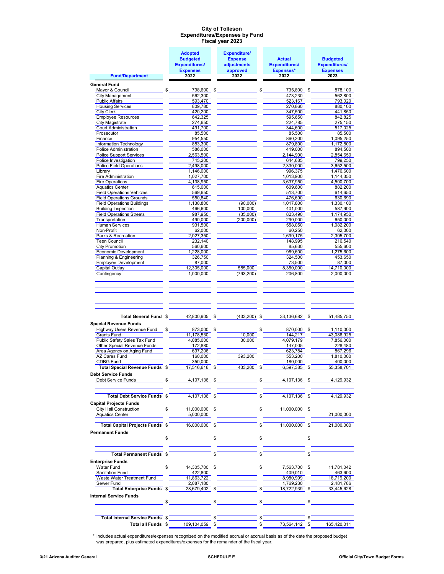#### **Expenditures/Expenses by Fund Fiscal year 2023 City of Tolleson**

|                                                                                                                                                                                                                                                                                                                | <b>Adopted</b>          | <b>Expenditure/</b>                                                                                                                                                                                                                                                                                                 |            |                               |                         |
|----------------------------------------------------------------------------------------------------------------------------------------------------------------------------------------------------------------------------------------------------------------------------------------------------------------|-------------------------|---------------------------------------------------------------------------------------------------------------------------------------------------------------------------------------------------------------------------------------------------------------------------------------------------------------------|------------|-------------------------------|-------------------------|
|                                                                                                                                                                                                                                                                                                                | <b>Budgeted</b>         | <b>Expense</b>                                                                                                                                                                                                                                                                                                      |            | <b>Actual</b>                 | <b>Budgeted</b>         |
|                                                                                                                                                                                                                                                                                                                | <b>Expenditures/</b>    | adjustments                                                                                                                                                                                                                                                                                                         |            | <b>Expenditures/</b>          | <b>Expenditures/</b>    |
| <b>Fund/Department</b>                                                                                                                                                                                                                                                                                         | <b>Expenses</b><br>2022 | approved<br>2022                                                                                                                                                                                                                                                                                                    |            | <b>Expenses*</b><br>2022      | <b>Expenses</b><br>2023 |
|                                                                                                                                                                                                                                                                                                                |                         |                                                                                                                                                                                                                                                                                                                     |            |                               |                         |
| <b>General Fund</b>                                                                                                                                                                                                                                                                                            |                         |                                                                                                                                                                                                                                                                                                                     |            |                               |                         |
| Mayor & Council<br>\$<br><b>City Management</b>                                                                                                                                                                                                                                                                | 798,600<br>562,300      | \$                                                                                                                                                                                                                                                                                                                  | \$         | 735,800 \$<br>473,230         | 878,100<br>562,800      |
| <b>Public Affairs</b>                                                                                                                                                                                                                                                                                          | 593,470                 |                                                                                                                                                                                                                                                                                                                     |            | 523,167                       | 793,020                 |
| <b>Housing Services</b>                                                                                                                                                                                                                                                                                        | 809,780                 |                                                                                                                                                                                                                                                                                                                     |            | 270,860                       | 880,100                 |
| City Clerk                                                                                                                                                                                                                                                                                                     | 420,200                 |                                                                                                                                                                                                                                                                                                                     |            | 347,500                       | 441,850                 |
| <b>Employee Resources</b>                                                                                                                                                                                                                                                                                      | 642,325                 |                                                                                                                                                                                                                                                                                                                     |            | 595,650                       | 842,825                 |
| <b>City Magistrate</b>                                                                                                                                                                                                                                                                                         | 274,650                 |                                                                                                                                                                                                                                                                                                                     |            | 224,785                       | 275,150                 |
| <b>Court Administration</b><br>Prosecutor                                                                                                                                                                                                                                                                      | 491,700<br>85,500       |                                                                                                                                                                                                                                                                                                                     |            | 344,600<br>85,500             | 517,025<br>85,500       |
| Finance                                                                                                                                                                                                                                                                                                        | 954,550                 |                                                                                                                                                                                                                                                                                                                     |            | 860,200                       | 1,095,250               |
| Information Technology                                                                                                                                                                                                                                                                                         | 883,300                 |                                                                                                                                                                                                                                                                                                                     |            | 879.800                       | 1,172,800               |
| <b>Police Administration</b>                                                                                                                                                                                                                                                                                   | 586,000                 |                                                                                                                                                                                                                                                                                                                     |            | 419,000                       | 894,500                 |
| Police Support Services                                                                                                                                                                                                                                                                                        | 2,563,500               |                                                                                                                                                                                                                                                                                                                     |            | 2,144,900                     | 2,854,650               |
| Police Investigation                                                                                                                                                                                                                                                                                           | 745,200                 |                                                                                                                                                                                                                                                                                                                     |            | 644,685                       | 799,250                 |
| <b>Police Field Operations</b>                                                                                                                                                                                                                                                                                 | 2,498,000               |                                                                                                                                                                                                                                                                                                                     |            | 2,330,000                     | 3,652,500               |
| Library                                                                                                                                                                                                                                                                                                        | 1,146,000               |                                                                                                                                                                                                                                                                                                                     |            | 996,375                       | 1,476,600               |
| Fire Administration<br>Fire Operations                                                                                                                                                                                                                                                                         | 1,027,700<br>4,138,950  |                                                                                                                                                                                                                                                                                                                     |            | 1,013,900<br>3,637,950        | 1,144,350<br>4,500,700  |
| <b>Aquatics Center</b>                                                                                                                                                                                                                                                                                         | 615,000                 |                                                                                                                                                                                                                                                                                                                     |            | 609,600                       | 882,200                 |
| <b>Field Operations Vehicles</b>                                                                                                                                                                                                                                                                               | 569,650                 |                                                                                                                                                                                                                                                                                                                     |            | 513,700                       | 614,650                 |
| <b>Field Operations Grounds</b>                                                                                                                                                                                                                                                                                | 550,840                 |                                                                                                                                                                                                                                                                                                                     |            | 476,690                       | 630,690                 |
| <b>Field Operations Buildings</b>                                                                                                                                                                                                                                                                              | 1,138,800               | (90,000)                                                                                                                                                                                                                                                                                                            |            | 1,017,800                     | 1,330,100               |
| <b>Building Inspection</b>                                                                                                                                                                                                                                                                                     | 466,600                 | 100,000                                                                                                                                                                                                                                                                                                             |            | 401,000                       | 587,900                 |
| <b>Field Operations Streets</b>                                                                                                                                                                                                                                                                                | 987,950                 | (35,000)                                                                                                                                                                                                                                                                                                            |            | 823.490                       | 1,174,950               |
| Transportation<br>Human Services                                                                                                                                                                                                                                                                               | 490,000<br>931,500      | (200,000)                                                                                                                                                                                                                                                                                                           |            | 290,000<br>558,050            | 650,000<br>1,082,200    |
| Non-Profit                                                                                                                                                                                                                                                                                                     | 62,000                  |                                                                                                                                                                                                                                                                                                                     |            | 60,250                        | 62,000                  |
| Parks & Recreation                                                                                                                                                                                                                                                                                             | 2,027,350               |                                                                                                                                                                                                                                                                                                                     |            | 1,699,175                     | 2,305,700               |
| Teen Council                                                                                                                                                                                                                                                                                                   | 232,140                 |                                                                                                                                                                                                                                                                                                                     |            | 148,995                       | 216,540                 |
| <b>City Promotion</b>                                                                                                                                                                                                                                                                                          | 560,600                 |                                                                                                                                                                                                                                                                                                                     |            | 85,630                        | 555,600                 |
| Economic Development                                                                                                                                                                                                                                                                                           | 1,228,000               |                                                                                                                                                                                                                                                                                                                     |            | 969,600                       | 1,275,600               |
| Planning & Engineering                                                                                                                                                                                                                                                                                         | 326,750                 |                                                                                                                                                                                                                                                                                                                     |            | 324,500                       | 453,650                 |
| <b>Employee Development</b>                                                                                                                                                                                                                                                                                    | 87,000                  |                                                                                                                                                                                                                                                                                                                     |            | 73,500                        | 87,000                  |
| Capital Outlay<br>Contingency                                                                                                                                                                                                                                                                                  | 12,305,000<br>1,000,000 | 585,000<br>(793, 200)                                                                                                                                                                                                                                                                                               |            | 8,350,000<br>206,800          | 14,710,000<br>2,000,000 |
|                                                                                                                                                                                                                                                                                                                |                         |                                                                                                                                                                                                                                                                                                                     |            |                               |                         |
|                                                                                                                                                                                                                                                                                                                |                         |                                                                                                                                                                                                                                                                                                                     |            |                               |                         |
| Total General Fund \$                                                                                                                                                                                                                                                                                          | 42,800,905              | \$<br>(433, 200)                                                                                                                                                                                                                                                                                                    | \$         | 33,136,682                    | \$<br>51,485,750        |
| <b>Special Revenue Funds</b>                                                                                                                                                                                                                                                                                   |                         |                                                                                                                                                                                                                                                                                                                     |            |                               |                         |
| Highway Users Revenue Fund<br>\$                                                                                                                                                                                                                                                                               | 873,000                 | \$                                                                                                                                                                                                                                                                                                                  | \$         | 870,000                       | \$<br>1,110,000         |
| <b>Grants Fund</b><br>Public Safety Sales Tax Fund                                                                                                                                                                                                                                                             | 11,178,530<br>4,085,000 | 10,000<br>30,000                                                                                                                                                                                                                                                                                                    |            | 144,217<br>4,079,179          | 43,086,925<br>7,856,000 |
| Other Special Revenue Funds                                                                                                                                                                                                                                                                                    | 172,880                 |                                                                                                                                                                                                                                                                                                                     |            | 147,005                       | 228,480                 |
| Area Agency on Aging Fund                                                                                                                                                                                                                                                                                      | 697,206                 |                                                                                                                                                                                                                                                                                                                     |            | 623,784                       | 867,296                 |
| <b>AZ Cares Fund</b>                                                                                                                                                                                                                                                                                           | 160,000                 | 393,200                                                                                                                                                                                                                                                                                                             |            | 553,200                       | 1,810,000               |
| <b>CDBG Fund</b>                                                                                                                                                                                                                                                                                               | 350,000                 |                                                                                                                                                                                                                                                                                                                     |            | 180,000                       | 400,000                 |
| Total Special Revenue Funds \$                                                                                                                                                                                                                                                                                 | 17,516,616              | \$<br>433,200                                                                                                                                                                                                                                                                                                       | \$         | 6,597,385                     | \$<br>55,358,701        |
| <b>Debt Service Funds</b>                                                                                                                                                                                                                                                                                      |                         |                                                                                                                                                                                                                                                                                                                     |            |                               |                         |
| Debt Service Funds                                                                                                                                                                                                                                                                                             | $\frac{1}{2}$           |                                                                                                                                                                                                                                                                                                                     |            | $4,107,136$ \$ $4,107,136$ \$ | 4,129,932               |
| Total Debt Service Funds $\frac{2}{100}$ $\frac{4,107,136}{2}$ $\frac{2}{100}$                                                                                                                                                                                                                                 |                         |                                                                                                                                                                                                                                                                                                                     | $\sqrt{s}$ | $4,107,136$ \$                | 4,129,932               |
| <b>Capital Projects Funds</b>                                                                                                                                                                                                                                                                                  |                         |                                                                                                                                                                                                                                                                                                                     |            |                               |                         |
| City Hall Construction $\frac{1}{2}$ $\frac{1}{2}$ $\frac{1}{2}$ $\frac{1}{2}$ $\frac{1}{2}$ $\frac{1}{2}$ $\frac{1}{2}$ $\frac{1}{2}$ $\frac{1}{2}$ $\frac{1}{2}$ $\frac{1}{2}$ $\frac{1}{2}$ $\frac{1}{2}$ $\frac{1}{2}$ $\frac{1}{2}$ $\frac{1}{2}$ $\frac{1}{2}$ $\frac{1}{2}$ $\frac{1}{2}$ $\frac{1}{2}$ |                         |                                                                                                                                                                                                                                                                                                                     |            |                               |                         |
| Aquatics Center                                                                                                                                                                                                                                                                                                | 5,000,000               |                                                                                                                                                                                                                                                                                                                     |            |                               | 21.000.000              |
|                                                                                                                                                                                                                                                                                                                |                         |                                                                                                                                                                                                                                                                                                                     |            |                               |                         |
| Total Capital Projects Funds \$16,000,000 \$                                                                                                                                                                                                                                                                   |                         |                                                                                                                                                                                                                                                                                                                     |            | $\sqrt{5}$ 11.000.000 \$      | 21.000.000              |
| <b>Permanent Funds</b>                                                                                                                                                                                                                                                                                         |                         |                                                                                                                                                                                                                                                                                                                     |            |                               |                         |
|                                                                                                                                                                                                                                                                                                                |                         |                                                                                                                                                                                                                                                                                                                     |            |                               |                         |
|                                                                                                                                                                                                                                                                                                                |                         |                                                                                                                                                                                                                                                                                                                     |            |                               |                         |
|                                                                                                                                                                                                                                                                                                                |                         |                                                                                                                                                                                                                                                                                                                     |            |                               |                         |
| Total Permanent Funds \$                                                                                                                                                                                                                                                                                       |                         | \$                                                                                                                                                                                                                                                                                                                  | \$         |                               |                         |
| <b>Enterprise Funds</b>                                                                                                                                                                                                                                                                                        |                         |                                                                                                                                                                                                                                                                                                                     |            |                               |                         |
| <b>Water Fund</b>                                                                                                                                                                                                                                                                                              | $\sim$                  | 14,305,700 \$                                                                                                                                                                                                                                                                                                       |            | $$^{\circ}$<br>7,563,700 \$   | 11,781,042              |
| Sanitation Fund<br>Waste Water Treatment Fund                                                                                                                                                                                                                                                                  | 422,800<br>11,863,722   |                                                                                                                                                                                                                                                                                                                     |            | 409,010<br>8,980,999          | 463,600<br>18,719,200   |
| Sewer Fund                                                                                                                                                                                                                                                                                                     | 2,087,180               |                                                                                                                                                                                                                                                                                                                     |            | 1,769,230                     | 2,481,786               |
| Total Enterprise Funds \$                                                                                                                                                                                                                                                                                      |                         | 28,679,402 \$                                                                                                                                                                                                                                                                                                       | \$         | 18,722,939 \$                 | 33,445,628              |
| <b>Internal Service Funds</b>                                                                                                                                                                                                                                                                                  |                         |                                                                                                                                                                                                                                                                                                                     |            |                               |                         |
|                                                                                                                                                                                                                                                                                                                | $\frac{1}{2}$           | $\frac{1}{2}$ $\frac{1}{2}$ $\frac{1}{2}$ $\frac{1}{2}$ $\frac{1}{2}$ $\frac{1}{2}$ $\frac{1}{2}$ $\frac{1}{2}$ $\frac{1}{2}$ $\frac{1}{2}$ $\frac{1}{2}$ $\frac{1}{2}$ $\frac{1}{2}$ $\frac{1}{2}$ $\frac{1}{2}$ $\frac{1}{2}$ $\frac{1}{2}$ $\frac{1}{2}$ $\frac{1}{2}$ $\frac{1}{2}$ $\frac{1}{2}$ $\frac{1}{2}$ |            |                               |                         |
|                                                                                                                                                                                                                                                                                                                |                         |                                                                                                                                                                                                                                                                                                                     |            |                               |                         |
| Total Internal Service Funds \$                                                                                                                                                                                                                                                                                |                         |                                                                                                                                                                                                                                                                                                                     | \$         |                               | \$                      |
| Total all Funds \$                                                                                                                                                                                                                                                                                             | 109,104,059 \$          |                                                                                                                                                                                                                                                                                                                     | \$         | 73,564,142                    | \$<br>165,420,011       |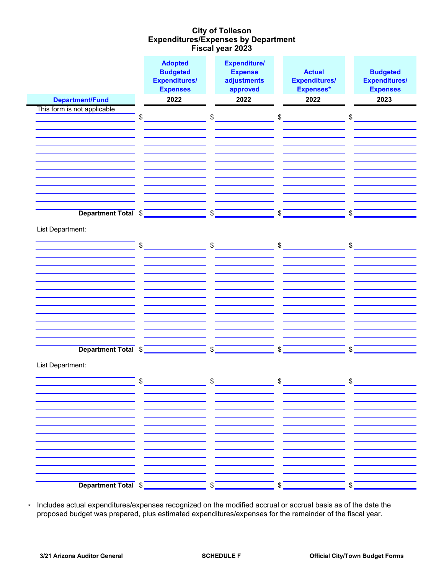### **Expenditures/Expenses by Department Fiscal year 2023 City of Tolleson**

|                             | <b>Adopted</b><br><b>Budgeted</b><br><b>Expenditures/</b><br><b>Expenses</b> | <b>Expenditure/</b><br><b>Expense</b><br>adjustments<br>approved | <b>Actual</b><br><b>Expenditures/</b><br>Expenses* | <b>Budgeted</b><br><b>Expenditures/</b><br><b>Expenses</b> |
|-----------------------------|------------------------------------------------------------------------------|------------------------------------------------------------------|----------------------------------------------------|------------------------------------------------------------|
| <b>Department/Fund</b>      | 2022                                                                         | 2022                                                             | 2022                                               | 2023                                                       |
| This form is not applicable |                                                                              |                                                                  |                                                    |                                                            |
|                             | \$                                                                           | \$                                                               | $\, \, \raisebox{12pt}{$\scriptstyle \$}$          | \$                                                         |
|                             |                                                                              |                                                                  |                                                    |                                                            |
|                             |                                                                              |                                                                  |                                                    |                                                            |
|                             |                                                                              |                                                                  |                                                    |                                                            |
|                             |                                                                              |                                                                  |                                                    |                                                            |
|                             |                                                                              |                                                                  |                                                    |                                                            |
|                             |                                                                              |                                                                  |                                                    |                                                            |
|                             |                                                                              |                                                                  |                                                    |                                                            |
|                             |                                                                              |                                                                  |                                                    |                                                            |
|                             |                                                                              |                                                                  |                                                    |                                                            |
| Department Total \$         |                                                                              | \$                                                               | \$                                                 | \$                                                         |
| List Department:            |                                                                              |                                                                  |                                                    |                                                            |
|                             |                                                                              |                                                                  |                                                    |                                                            |
|                             | \$                                                                           | $\sim$                                                           | $\frac{1}{2}$                                      | $\sim$                                                     |
|                             |                                                                              |                                                                  |                                                    |                                                            |
|                             |                                                                              |                                                                  |                                                    |                                                            |
|                             |                                                                              |                                                                  |                                                    |                                                            |
|                             |                                                                              |                                                                  |                                                    |                                                            |
|                             |                                                                              |                                                                  |                                                    |                                                            |
|                             |                                                                              |                                                                  |                                                    |                                                            |
|                             |                                                                              |                                                                  |                                                    |                                                            |
|                             |                                                                              |                                                                  |                                                    |                                                            |
|                             |                                                                              |                                                                  |                                                    |                                                            |
|                             |                                                                              |                                                                  |                                                    |                                                            |
| Department Total \$         |                                                                              | \$                                                               | \$                                                 | \$                                                         |
| List Department:            |                                                                              |                                                                  |                                                    |                                                            |
|                             |                                                                              |                                                                  |                                                    |                                                            |
|                             | ¢                                                                            | ¢                                                                | ¢                                                  | ¢                                                          |
|                             |                                                                              |                                                                  |                                                    |                                                            |
|                             |                                                                              |                                                                  |                                                    |                                                            |
|                             |                                                                              |                                                                  |                                                    |                                                            |
|                             |                                                                              |                                                                  |                                                    |                                                            |
|                             |                                                                              |                                                                  |                                                    |                                                            |
|                             |                                                                              |                                                                  |                                                    |                                                            |
|                             |                                                                              |                                                                  |                                                    |                                                            |
|                             |                                                                              |                                                                  |                                                    |                                                            |
|                             |                                                                              |                                                                  |                                                    |                                                            |
|                             |                                                                              |                                                                  |                                                    |                                                            |
| Department Total \$         |                                                                              | \$                                                               |                                                    | \$                                                         |